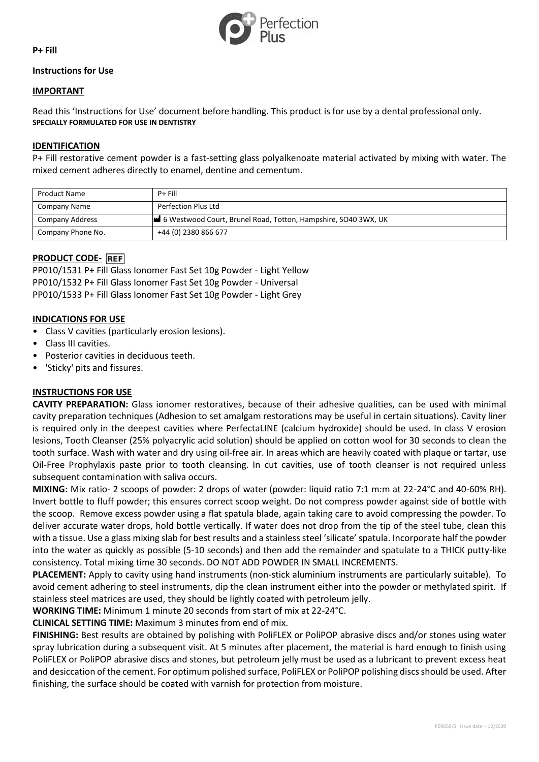

**P+ Fill**

## **Instructions for Use**

### **IMPORTANT**

Read this 'Instructions for Use' document before handling. This product is for use by a dental professional only. **SPECIALLY FORMULATED FOR USE IN DENTISTRY**

### **IDENTIFICATION**

P+ Fill restorative cement powder is a fast-setting glass polyalkenoate material activated by mixing with water. The mixed cement adheres directly to enamel, dentine and cementum.

| <b>Product Name</b> | $P +$ Fill                                                     |
|---------------------|----------------------------------------------------------------|
| Company Name        | Perfection Plus Ltd                                            |
| Company Address     | 6 Westwood Court, Brunel Road, Totton, Hampshire, SO40 3WX, UK |
| Company Phone No.   | +44 (0) 2380 866 677                                           |

# **PRODUCT CODE-**

PP010/1531 P+ Fill Glass Ionomer Fast Set 10g Powder - Light Yellow PP010/1532 P+ Fill Glass Ionomer Fast Set 10g Powder - Universal PP010/1533 P+ Fill Glass Ionomer Fast Set 10g Powder - Light Grey

### **INDICATIONS FOR USE**

- Class V cavities (particularly erosion lesions).
- Class III cavities.
- Posterior cavities in deciduous teeth.
- 'Sticky' pits and fissures.

## **INSTRUCTIONS FOR USE**

**CAVITY PREPARATION:** Glass ionomer restoratives, because of their adhesive qualities, can be used with minimal cavity preparation techniques (Adhesion to set amalgam restorations may be useful in certain situations). Cavity liner is required only in the deepest cavities where PerfectaLINE (calcium hydroxide) should be used. In class V erosion lesions, Tooth Cleanser (25% polyacrylic acid solution) should be applied on cotton wool for 30 seconds to clean the tooth surface. Wash with water and dry using oil-free air. In areas which are heavily coated with plaque or tartar, use Oil-Free Prophylaxis paste prior to tooth cleansing. In cut cavities, use of tooth cleanser is not required unless subsequent contamination with saliva occurs.

**MIXING:** Mix ratio- 2 scoops of powder: 2 drops of water (powder: liquid ratio 7:1 m:m at 22-24°C and 40-60% RH). Invert bottle to fluff powder; this ensures correct scoop weight. Do not compress powder against side of bottle with the scoop. Remove excess powder using a flat spatula blade, again taking care to avoid compressing the powder. To deliver accurate water drops, hold bottle vertically. If water does not drop from the tip of the steel tube, clean this with a tissue. Use a glass mixing slab for best results and a stainless steel 'silicate' spatula. Incorporate half the powder into the water as quickly as possible (5-10 seconds) and then add the remainder and spatulate to a THICK putty-like consistency. Total mixing time 30 seconds. DO NOT ADD POWDER IN SMALL INCREMENTS.

**PLACEMENT:** Apply to cavity using hand instruments (non-stick aluminium instruments are particularly suitable). To avoid cement adhering to steel instruments, dip the clean instrument either into the powder or methylated spirit. If stainless steel matrices are used, they should be lightly coated with petroleum jelly.

**WORKING TIME:** Minimum 1 minute 20 seconds from start of mix at 22-24°C.

**CLINICAL SETTING TIME:** Maximum 3 minutes from end of mix.

**FINISHING:** Best results are obtained by polishing with PoliFLEX or PoliPOP abrasive discs and/or stones using water spray lubrication during a subsequent visit. At 5 minutes after placement, the material is hard enough to finish using PoliFLEX or PoliPOP abrasive discs and stones, but petroleum jelly must be used as a lubricant to prevent excess heat and desiccation of the cement. For optimum polished surface, PoliFLEX or PoliPOP polishing discs should be used. After finishing, the surface should be coated with varnish for protection from moisture.